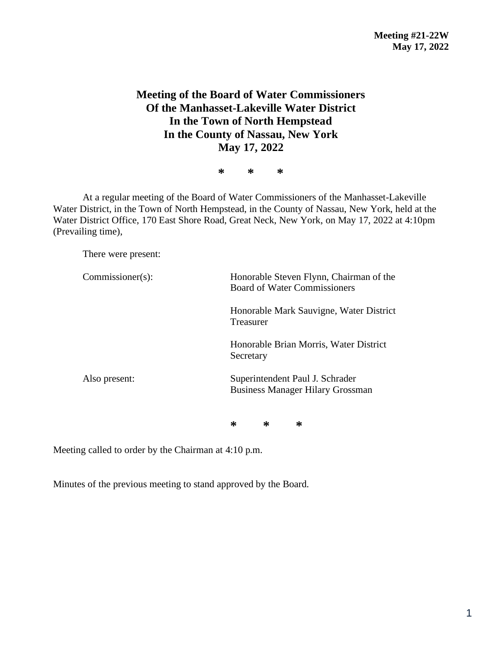# **Meeting of the Board of Water Commissioners Of the Manhasset-Lakeville Water District In the Town of North Hempstead In the County of Nassau, New York May 17, 2022**

**\* \* \***

At a regular meeting of the Board of Water Commissioners of the Manhasset-Lakeville Water District, in the Town of North Hempstead, in the County of Nassau, New York, held at the Water District Office, 170 East Shore Road, Great Neck, New York, on May 17, 2022 at 4:10pm (Prevailing time),

There were present:

| $Commissioner(s)$ : | Honorable Steven Flynn, Chairman of the<br><b>Board of Water Commissioners</b> |  |  |
|---------------------|--------------------------------------------------------------------------------|--|--|
|                     | Honorable Mark Sauvigne, Water District<br>Treasurer                           |  |  |
|                     | Honorable Brian Morris, Water District<br>Secretary                            |  |  |
| Also present:       | Superintendent Paul J. Schrader<br><b>Business Manager Hilary Grossman</b>     |  |  |

**\* \* \***

Meeting called to order by the Chairman at 4:10 p.m.

Minutes of the previous meeting to stand approved by the Board.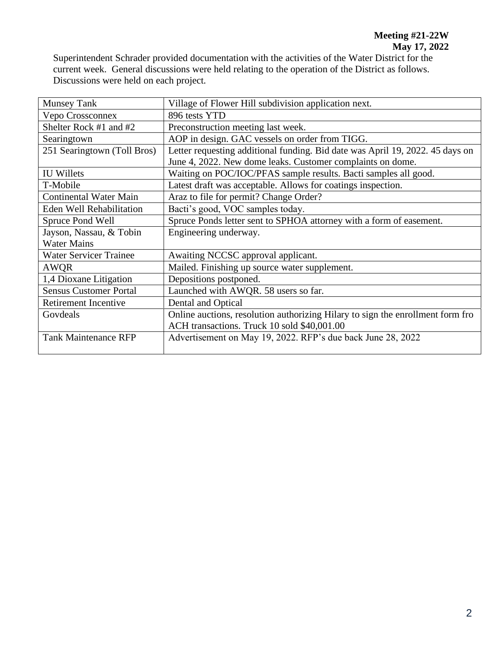Superintendent Schrader provided documentation with the activities of the Water District for the current week. General discussions were held relating to the operation of the District as follows. Discussions were held on each project.

| <b>Munsey Tank</b>            | Village of Flower Hill subdivision application next.                           |  |  |
|-------------------------------|--------------------------------------------------------------------------------|--|--|
| Vepo Crossconnex              | 896 tests YTD                                                                  |  |  |
| Shelter Rock #1 and #2        | Preconstruction meeting last week.                                             |  |  |
| Searingtown                   | AOP in design. GAC vessels on order from TIGG.                                 |  |  |
| 251 Searingtown (Toll Bros)   | Letter requesting additional funding. Bid date was April 19, 2022. 45 days on  |  |  |
|                               | June 4, 2022. New dome leaks. Customer complaints on dome.                     |  |  |
| <b>IU</b> Willets             | Waiting on POC/IOC/PFAS sample results. Bacti samples all good.                |  |  |
| T-Mobile                      | Latest draft was acceptable. Allows for coatings inspection.                   |  |  |
| <b>Continental Water Main</b> | Araz to file for permit? Change Order?                                         |  |  |
| Eden Well Rehabilitation      | Bacti's good, VOC samples today.                                               |  |  |
| Spruce Pond Well              | Spruce Ponds letter sent to SPHOA attorney with a form of easement.            |  |  |
| Jayson, Nassau, & Tobin       | Engineering underway.                                                          |  |  |
| <b>Water Mains</b>            |                                                                                |  |  |
| <b>Water Servicer Trainee</b> | Awaiting NCCSC approval applicant.                                             |  |  |
| AWQR                          | Mailed. Finishing up source water supplement.                                  |  |  |
| 1,4 Dioxane Litigation        | Depositions postponed.                                                         |  |  |
| <b>Sensus Customer Portal</b> | Launched with AWQR. 58 users so far.                                           |  |  |
| <b>Retirement Incentive</b>   | Dental and Optical                                                             |  |  |
| Govdeals                      | Online auctions, resolution authorizing Hilary to sign the enrollment form fro |  |  |
|                               | ACH transactions. Truck 10 sold \$40,001.00                                    |  |  |
| <b>Tank Maintenance RFP</b>   | Advertisement on May 19, 2022. RFP's due back June 28, 2022                    |  |  |
|                               |                                                                                |  |  |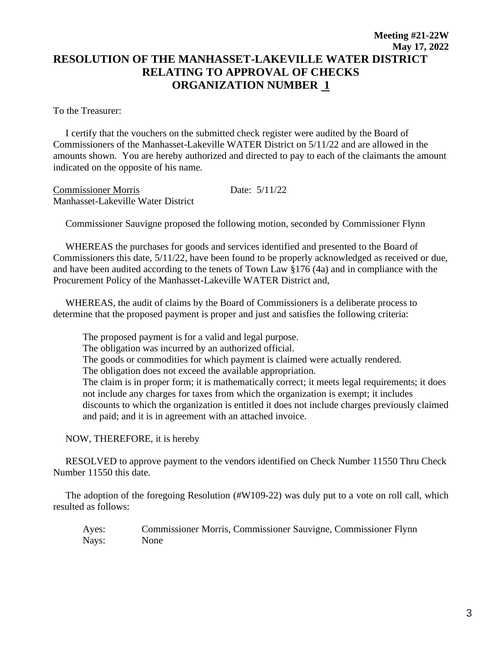## **Meeting #21-22W May 17, 2022 RESOLUTION OF THE MANHASSET-LAKEVILLE WATER DISTRICT RELATING TO APPROVAL OF CHECKS ORGANIZATION NUMBER 1**

To the Treasurer:

 I certify that the vouchers on the submitted check register were audited by the Board of Commissioners of the Manhasset-Lakeville WATER District on 5/11/22 and are allowed in the amounts shown. You are hereby authorized and directed to pay to each of the claimants the amount indicated on the opposite of his name.

Commissioner Morris Date: 5/11/22 Manhasset-Lakeville Water District

Commissioner Sauvigne proposed the following motion, seconded by Commissioner Flynn

 WHEREAS the purchases for goods and services identified and presented to the Board of Commissioners this date, 5/11/22, have been found to be properly acknowledged as received or due, and have been audited according to the tenets of Town Law §176 (4a) and in compliance with the Procurement Policy of the Manhasset-Lakeville WATER District and,

 WHEREAS, the audit of claims by the Board of Commissioners is a deliberate process to determine that the proposed payment is proper and just and satisfies the following criteria:

The proposed payment is for a valid and legal purpose. The obligation was incurred by an authorized official. The goods or commodities for which payment is claimed were actually rendered. The obligation does not exceed the available appropriation. The claim is in proper form; it is mathematically correct; it meets legal requirements; it does not include any charges for taxes from which the organization is exempt; it includes discounts to which the organization is entitled it does not include charges previously claimed and paid; and it is in agreement with an attached invoice.

NOW, THEREFORE, it is hereby

 RESOLVED to approve payment to the vendors identified on Check Number 11550 Thru Check Number 11550 this date.

 The adoption of the foregoing Resolution (#W109-22) was duly put to a vote on roll call, which resulted as follows:

Ayes: Commissioner Morris, Commissioner Sauvigne, Commissioner Flynn Nays: None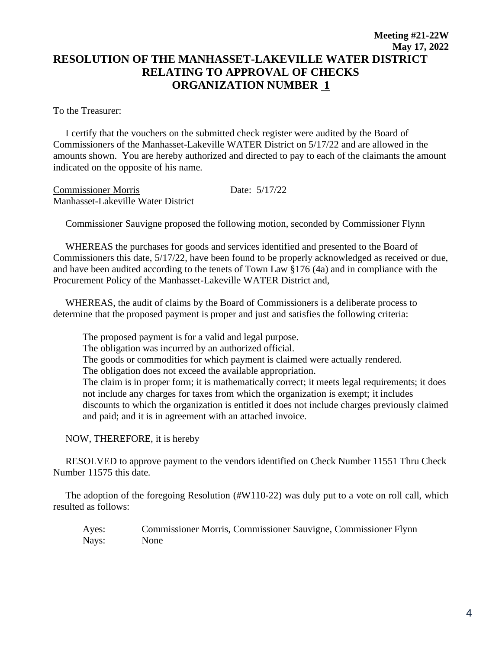## **Meeting #21-22W May 17, 2022 RESOLUTION OF THE MANHASSET-LAKEVILLE WATER DISTRICT RELATING TO APPROVAL OF CHECKS ORGANIZATION NUMBER 1**

To the Treasurer:

 I certify that the vouchers on the submitted check register were audited by the Board of Commissioners of the Manhasset-Lakeville WATER District on 5/17/22 and are allowed in the amounts shown. You are hereby authorized and directed to pay to each of the claimants the amount indicated on the opposite of his name.

Commissioner Morris Date: 5/17/22 Manhasset-Lakeville Water District

Commissioner Sauvigne proposed the following motion, seconded by Commissioner Flynn

 WHEREAS the purchases for goods and services identified and presented to the Board of Commissioners this date, 5/17/22, have been found to be properly acknowledged as received or due, and have been audited according to the tenets of Town Law §176 (4a) and in compliance with the Procurement Policy of the Manhasset-Lakeville WATER District and,

 WHEREAS, the audit of claims by the Board of Commissioners is a deliberate process to determine that the proposed payment is proper and just and satisfies the following criteria:

The proposed payment is for a valid and legal purpose. The obligation was incurred by an authorized official. The goods or commodities for which payment is claimed were actually rendered. The obligation does not exceed the available appropriation. The claim is in proper form; it is mathematically correct; it meets legal requirements; it does not include any charges for taxes from which the organization is exempt; it includes discounts to which the organization is entitled it does not include charges previously claimed and paid; and it is in agreement with an attached invoice.

NOW, THEREFORE, it is hereby

 RESOLVED to approve payment to the vendors identified on Check Number 11551 Thru Check Number 11575 this date.

 The adoption of the foregoing Resolution (#W110-22) was duly put to a vote on roll call, which resulted as follows:

Ayes: Commissioner Morris, Commissioner Sauvigne, Commissioner Flynn Nays: None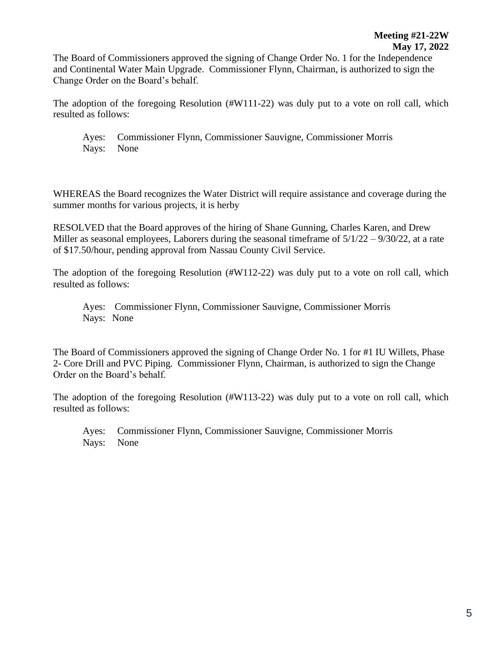The Board of Commissioners approved the signing of Change Order No. 1 for the Independence and Continental Water Main Upgrade. Commissioner Flynn, Chairman, is authorized to sign the Change Order on the Board's behalf.

The adoption of the foregoing Resolution (#W111-22) was duly put to a vote on roll call, which resulted as follows:

Ayes: Commissioner Flynn, Commissioner Sauvigne, Commissioner Morris Nays: None

WHEREAS the Board recognizes the Water District will require assistance and coverage during the summer months for various projects, it is herby

RESOLVED that the Board approves of the hiring of Shane Gunning, Charles Karen, and Drew Miller as seasonal employees, Laborers during the seasonal timeframe of  $5/1/22 - 9/30/22$ , at a rate of \$17.50/hour, pending approval from Nassau County Civil Service.

The adoption of the foregoing Resolution (#W112-22) was duly put to a vote on roll call, which resulted as follows:

Ayes: Commissioner Flynn, Commissioner Sauvigne, Commissioner Morris Nays: None

The Board of Commissioners approved the signing of Change Order No. 1 for #1 IU Willets, Phase 2- Core Drill and PVC Piping. Commissioner Flynn, Chairman, is authorized to sign the Change Order on the Board's behalf.

The adoption of the foregoing Resolution (#W113-22) was duly put to a vote on roll call, which resulted as follows:

Ayes: Commissioner Flynn, Commissioner Sauvigne, Commissioner Morris Nays: None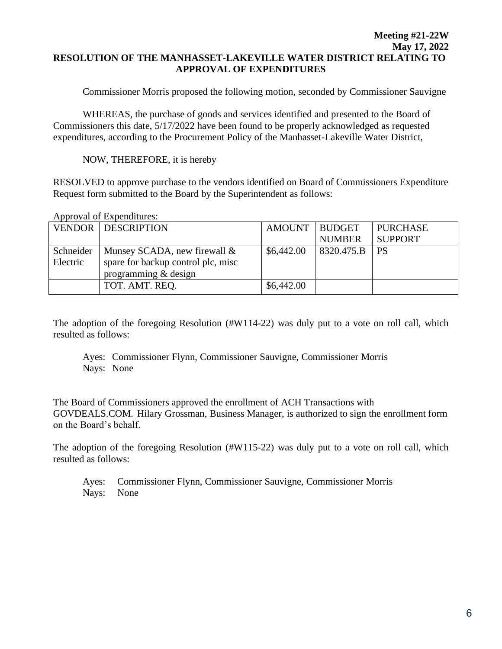#### **Meeting #21-22W May 17, 2022 RESOLUTION OF THE MANHASSET-LAKEVILLE WATER DISTRICT RELATING TO APPROVAL OF EXPENDITURES**

Commissioner Morris proposed the following motion, seconded by Commissioner Sauvigne

WHEREAS, the purchase of goods and services identified and presented to the Board of Commissioners this date, 5/17/2022 have been found to be properly acknowledged as requested expenditures, according to the Procurement Policy of the Manhasset-Lakeville Water District,

NOW, THEREFORE, it is hereby

RESOLVED to approve purchase to the vendors identified on Board of Commissioners Expenditure Request form submitted to the Board by the Superintendent as follows:

| $1.49 \mu$ $1.44 \sigma$ $1.44 \sigma$ |                                    |                 |               |                 |  |  |
|----------------------------------------|------------------------------------|-----------------|---------------|-----------------|--|--|
|                                        | <b>VENDOR DESCRIPTION</b>          | AMOUNT   BUDGET |               | <b>PURCHASE</b> |  |  |
|                                        |                                    |                 | <b>NUMBER</b> | <b>SUPPORT</b>  |  |  |
| Schneider                              | Munsey SCADA, new firewall $\&$    | \$6,442.00      | 8320.475.B    | l PS            |  |  |
| Electric                               | spare for backup control plc, misc |                 |               |                 |  |  |
|                                        | programming & design               |                 |               |                 |  |  |
|                                        | TOT. AMT. REO.                     | \$6,442.00      |               |                 |  |  |

Approval of Expenditures:

The adoption of the foregoing Resolution (#W114-22) was duly put to a vote on roll call, which resulted as follows:

Ayes: Commissioner Flynn, Commissioner Sauvigne, Commissioner Morris Nays: None

The Board of Commissioners approved the enrollment of ACH Transactions with GOVDEALS.COM. Hilary Grossman, Business Manager, is authorized to sign the enrollment form on the Board's behalf.

The adoption of the foregoing Resolution (#W115-22) was duly put to a vote on roll call, which resulted as follows:

Ayes: Commissioner Flynn, Commissioner Sauvigne, Commissioner Morris Nays: None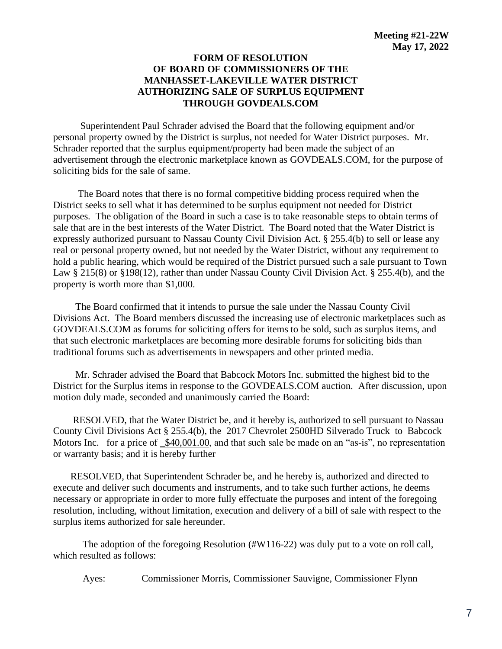#### **FORM OF RESOLUTION OF BOARD OF COMMISSIONERS OF THE MANHASSET-LAKEVILLE WATER DISTRICT AUTHORIZING SALE OF SURPLUS EQUIPMENT THROUGH GOVDEALS.COM**

 Superintendent Paul Schrader advised the Board that the following equipment and/or personal property owned by the District is surplus, not needed for Water District purposes. Mr. Schrader reported that the surplus equipment/property had been made the subject of an advertisement through the electronic marketplace known as GOVDEALS.COM, for the purpose of soliciting bids for the sale of same.

 The Board notes that there is no formal competitive bidding process required when the District seeks to sell what it has determined to be surplus equipment not needed for District purposes. The obligation of the Board in such a case is to take reasonable steps to obtain terms of sale that are in the best interests of the Water District. The Board noted that the Water District is expressly authorized pursuant to Nassau County Civil Division Act. § 255.4(b) to sell or lease any real or personal property owned, but not needed by the Water District, without any requirement to hold a public hearing, which would be required of the District pursued such a sale pursuant to Town Law § 215(8) or §198(12), rather than under Nassau County Civil Division Act. § 255.4(b), and the property is worth more than \$1,000.

 The Board confirmed that it intends to pursue the sale under the Nassau County Civil Divisions Act. The Board members discussed the increasing use of electronic marketplaces such as GOVDEALS.COM as forums for soliciting offers for items to be sold, such as surplus items, and that such electronic marketplaces are becoming more desirable forums for soliciting bids than traditional forums such as advertisements in newspapers and other printed media.

 Mr. Schrader advised the Board that Babcock Motors Inc. submitted the highest bid to the District for the Surplus items in response to the GOVDEALS.COM auction. After discussion, upon motion duly made, seconded and unanimously carried the Board:

 RESOLVED, that the Water District be, and it hereby is, authorized to sell pursuant to Nassau County Civil Divisions Act § 255.4(b), the 2017 Chevrolet 2500HD Silverado Truck to Babcock Motors Inc. for a price of \_\$40,001.00, and that such sale be made on an "as-is", no representation or warranty basis; and it is hereby further

 RESOLVED, that Superintendent Schrader be, and he hereby is, authorized and directed to execute and deliver such documents and instruments, and to take such further actions, he deems necessary or appropriate in order to more fully effectuate the purposes and intent of the foregoing resolution, including, without limitation, execution and delivery of a bill of sale with respect to the surplus items authorized for sale hereunder.

The adoption of the foregoing Resolution (#W116-22) was duly put to a vote on roll call, which resulted as follows:

Ayes: Commissioner Morris, Commissioner Sauvigne, Commissioner Flynn